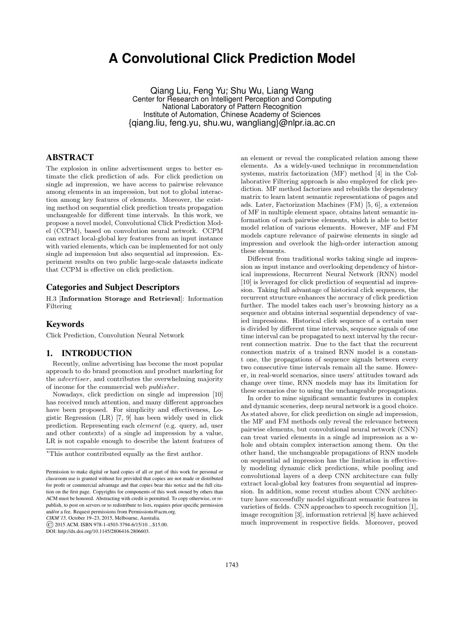# **A Convolutional Click Prediction Model**

Qiang Liu, Feng Yu<sup>∗</sup> , Shu Wu, Liang Wang Center for Research on Intelligent Perception and Computing National Laboratory of Pattern Recognition Institute of Automation, Chinese Academy of Sciences {qiang.liu, feng.yu, shu.wu, wangliang}@nlpr.ia.ac.cn

# ABSTRACT

The explosion in online advertisement urges to better estimate the click prediction of ads. For click prediction on single ad impression, we have access to pairwise relevance among elements in an impression, but not to global interaction among key features of elements. Moreover, the existing method on sequential click prediction treats propagation unchangeable for different time intervals. In this work, we propose a novel model, Convolutional Click Prediction Model (CCPM), based on convolution neural network. CCPM can extract local-global key features from an input instance with varied elements, which can be implemented for not only single ad impression but also sequential ad impression. Experiment results on two public large-scale datasets indicate that CCPM is effective on click prediction.

### Categories and Subject Descriptors

H.3 [Information Storage and Retrieval]: Information Filtering

## Keywords

Click Prediction, Convolution Neural Network

# 1. INTRODUCTION

Recently, online advertising has become the most popular approach to do brand promotion and product marketing for the advertiser, and contributes the overwhelming majority of income for the commercial web publisher.

Nowadays, click prediction on single ad impression [10] has received much attention, and many different approaches have been proposed. For simplicity and effectiveness, Logistic Regression (LR) [7, 9] has been widely used in click prediction. Representing each element (e.g. query, ad, user and other contexts) of a single ad impression by a value, LR is not capable enough to describe the latent features of

*CIKM'15,* October 19–23, 2015, Melbourne, Australia.

© 2015 ACM. ISBN 978-1-4503-3794-6/15/10 ...\$15.00.

DOI: http://dx.doi.org/10.1145/2806416.2806603.

an element or reveal the complicated relation among these elements. As a widely-used technique in recommendation systems, matrix factorization (MF) method [4] in the Collaborative Filtering approach is also employed for click prediction. MF method factorizes and rebuilds the dependency matrix to learn latent semantic representations of pages and ads. Later, Factorization Machines (FM) [5, 6], a extension of MF in multiple element space, obtains latent semantic information of each pairwise elements, which is able to better model relation of various elements. However, MF and FM models capture relevance of pairwise elements in single ad impression and overlook the high-order interaction among these elements.

Different from traditional works taking single ad impression as input instance and overlooking dependency of historical impressions, Recurrent Neural Network (RNN) model [10] is leveraged for click prediction of sequential ad impression. Taking full advantage of historical click sequences, the recurrent structure enhances the accuracy of click prediction further. The model takes each user's browsing history as a sequence and obtains internal sequential dependency of varied impressions. Historical click sequence of a certain user is divided by different time intervals, sequence signals of one time interval can be propagated to next interval by the recurrent connection matrix. Due to the fact that the recurrent connection matrix of a trained RNN model is a constant one, the propagations of sequence signals between every two consecutive time intervals remain all the same. However, in real-world scenarios, since users' attitudes toward ads change over time, RNN models may has its limitation for these scenarios due to using the unchangeable propagations.

In order to mine significant semantic features in complex and dynamic sceneries, deep neural network is a good choice. As stated above, for click prediction on single ad impression, the MF and FM methods only reveal the relevance between pairwise elements, but convolutional neural network (CNN) can treat varied elements in a single ad impression as a whole and obtain complex interaction among them. On the other hand, the unchangeable propagations of RNN models on sequential ad impression has the limitation in effectively modeling dynamic click predictions, while pooling and convolutional layers of a deep CNN architecture can fully extract local-global key features from sequential ad impression. In addition, some recent studies about CNN architecture have successfully model significant semantic features in varieties of fields. CNN approaches to speech recognition [1], image recognition [3], information retrieval [8] have achieved much improvement in respective fields. Moreover, proved

<sup>∗</sup>This author contributed equally as the first author.

Permission to make digital or hard copies of all or part of this work for personal or classroom use is granted without fee provided that copies are not made or distributed for profit or commercial advantage and that copies bear this notice and the full citation on the first page. Copyrights for components of this work owned by others than ACM must be honored. Abstracting with credit is permitted. To copy otherwise, or republish, to post on servers or to redistribute to lists, requires prior specific permission and/or a fee. Request permissions from Permissions@acm.org.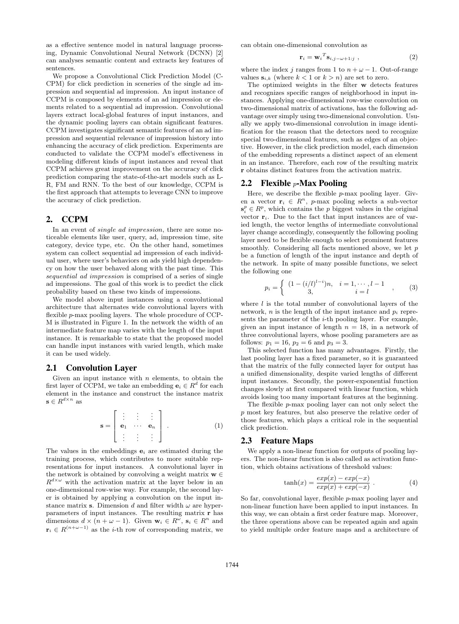as a effective sentence model in natural language processing, Dynamic Convolutional Neural Network (DCNN) [2] can analyses semantic content and extracts key features of sentences.

We propose a Convolutional Click Prediction Model (C-CPM) for click prediction in sceneries of the single ad impression and sequential ad impression. An input instance of CCPM is composed by elements of an ad impression or elements related to a sequential ad impression. Convolutional layers extract local-global features of input instances, and the dynamic pooling layers can obtain significant features. CCPM investigates significant semantic features of an ad impression and sequential relevance of impression history into enhancing the accuracy of click prediction. Experiments are conducted to validate the CCPM model's effectiveness in modeling different kinds of input instances and reveal that CCPM achieves great improvement on the accuracy of click prediction comparing the state-of-the-art models such as L-R, FM and RNN. To the best of our knowledge, CCPM is the first approach that attempts to leverage CNN to improve the accuracy of click prediction.

## 2. CCPM

In an event of *single ad impression*, there are some noticeable elements like user, query, ad, impression time, site category, device type, etc. On the other hand, sometimes system can collect sequential ad impression of each individual user, where user's behaviors on ads yield high dependency on how the user behaved along with the past time. This sequential ad impression is comprised of a series of single ad impressions. The goal of this work is to predict the click probability based on these two kinds of impressions.

We model above input instances using a convolutional architecture that alternates wide convolutional layers with flexible *p*-max pooling layers. The whole procedure of CCP-M is illustrated in Figure 1. In the network the width of an intermediate feature map varies with the length of the input instance. It is remarkable to state that the proposed model can handle input instances with varied length, which make it can be used widely.

#### 2.1 Convolution Layer

Given an input instance with  $n$  elements, to obtain the first layer of CCPM, we take an embedding  $\mathbf{e}_i \in \mathbb{R}^d$  for each element in the instance and construct the instance matrix  $\mathbf{s} \in R^{d \times n}$  as

$$
\mathbf{s} = \left[ \begin{array}{ccc} \vdots & \vdots & \vdots \\ \mathbf{e}_1 & \cdots & \mathbf{e}_n \\ \vdots & \vdots & \vdots \end{array} \right] . \tag{1}
$$

The values in the embeddings  $e_i$  are estimated during the training process, which contributes to more suitable representations for input instances. A convolutional layer in the network is obtained by convolving a weight matrix  $\mathbf{w} \in \mathbb{R}$  $R^{d \times \omega}$  with the activation matrix at the layer below in an one-dimensional row-wise way. For example, the second layer is obtained by applying a convolution on the input instance matrix s. Dimension d and filter width  $\omega$  are hyperparameters of input instances. The resulting matrix r has dimensions  $d \times (n + \omega - 1)$ . Given  $\mathbf{w}_i \in R^{\omega}$ ,  $\mathbf{s}_i \in R^n$  and  $\mathbf{r}_i \in R^{(n+\omega-1)}$  as the *i*-th row of corresponding matrix, we

can obtain one-dimensional convolution as

$$
\mathbf{r}_{i} = \mathbf{w}_{i}^{T} \mathbf{s}_{i,j-\omega+1:j} \tag{2}
$$

where the index j ranges from 1 to  $n + \omega - 1$ . Out-of-range values  $s_{i,k}$  (where  $k < 1$  or  $k > n$ ) are set to zero.

The optimized weights in the filter w detects features and recognizes specific ranges of neighborhood in input instances. Applying one-dimensional row-wise convolution on two-dimensional matrix of activations, has the following advantage over simply using two-dimensional convolution. Usually we apply two-dimensional convolution in image identification for the reason that the detectors need to recognize special two-dimensional features, such as edges of an objective. However, in the click prediction model, each dimension of the embedding represents a distinct aspect of an element in an instance. Therefore, each row of the resulting matrix r obtains distinct features from the activation matrix.

#### 2.2 Flexible  $p$ -Max Pooling

Here, we describe the flexible p-max pooling layer. Given a vector  $\mathbf{r}_i \in R^n$ , p-max pooling selects a sub-vector  $\mathbf{s}_i^p \in R^p$ , which contains the p biggest values in the original vector  $\mathbf{r}_i$ . Due to the fact that input instances are of varied length, the vector lengths of intermediate convolutional layer change accordingly, consequently the following pooling layer need to be flexible enough to select prominent features smoothly. Considering all facts mentioned above, we let  $p$ be a function of length of the input instance and depth of the network. In spite of many possible functions, we select the following one

$$
p_i = \begin{cases} (1 - (i/l)^{l-i})n, & i = 1, \cdots, l-1 \\ 3, & i = l \end{cases}
$$
 (3)

where  $l$  is the total number of convolutional layers of the network, *n* is the length of the input instance and  $p_i$  represents the parameter of the  $i$ -th pooling layer. For example, given an input instance of length  $n = 18$ , in a network of three convolutional layers, whose pooling parameters are as follows:  $p_1 = 16$ ,  $p_2 = 6$  and  $p_3 = 3$ .

This selected function has many advantages. Firstly, the last pooling layer has a fixed parameter, so it is guaranteed that the matrix of the fully connected layer for output has a unified dimensionality, despite varied lengths of different input instances. Secondly, the power-exponential function changes slowly at first compared with linear function, which avoids losing too many important features at the beginning.

The flexible p-max pooling layer can not only select the p most key features, but also preserve the relative order of those features, which plays a critical role in the sequential click prediction.

#### 2.3 Feature Maps

We apply a non-linear function for outputs of pooling layers. The non-linear function is also called as activation function, which obtains activations of threshold values:

$$
\tanh(x) = \frac{exp(x) - exp(-x)}{exp(x) + exp(-x)}.
$$
 (4)

So far, convolutional layer, flexible p-max pooling layer and non-linear function have been applied to input instances. In this way, we can obtain a first order feature map. Moreover, the three operations above can be repeated again and again to yield multiple order feature maps and a architecture of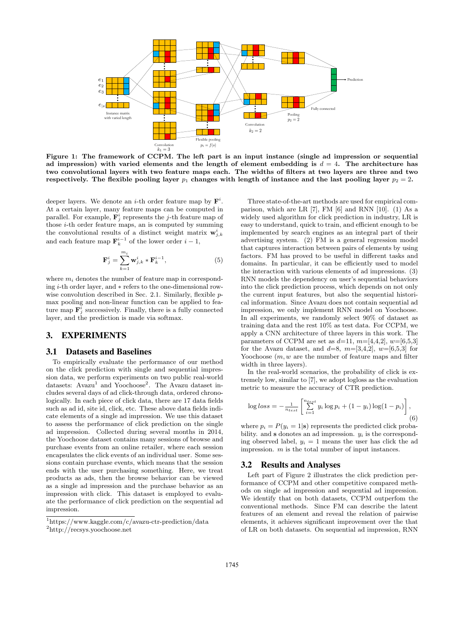

Figure 1: The framework of CCPM. The left part is an input instance (single ad impression or sequential ad impression) with varied elements and the length of element embedding is  $d = 4$ . The architecture has two convolutional layers with two feature maps each. The widths of filters at two layers are three and two respectively. The flexible pooling layer  $p_1$  changes with length of instance and the last pooling layer  $p_2 = 2$ .

deeper layers. We denote an *i*-th order feature map by  $\mathbf{F}^i$ . At a certain layer, many feature maps can be computed in parallel. For example,  $\mathbf{F}_j^i$  represents the *j*-th feature map of those i-th order feature maps, an is computed by summing the convolutional results of a distinct weight matrix  $\mathbf{w}_{j,k}^{i}$ and each feature map  $\mathbf{F}_k^{i-1}$  of the lower order  $i-1$ ,

$$
\mathbf{F}_j^i = \sum_{k=1}^{m_i} \mathbf{w}_{j,k}^i * \mathbf{F}_k^{i-1},\tag{5}
$$

where  $m_i$  denotes the number of feature map in corresponding i-th order layer, and ∗ refers to the one-dimensional rowwise convolution described in Sec. 2.1. Similarly, flexible pmax pooling and non-linear function can be applied to feature map  $\mathbf{F}_j^i$  successively. Finally, there is a fully connected layer, and the prediction is made via softmax.

# 3. EXPERIMENTS

#### 3.1 Datasets and Baselines

To empirically evaluate the performance of our method on the click prediction with single and sequential impression data, we perform experiments on two public real-world datasets: Avazu<sup>1</sup> and Yoochoose<sup>2</sup>. The Avazu dataset includes several days of ad click-through data, ordered chronologically. In each piece of click data, there are 17 data fields such as ad id, site id, click, etc. These above data fields indicate elements of a single ad impression. We use this dataset to assess the performance of click prediction on the single ad impression. Collected during several months in 2014, the Yoochoose dataset contains many sessions of browse and purchase events from an online retailer, where each session encapsulates the click events of an individual user. Some sessions contain purchase events, which means that the session ends with the user purchasing something. Here, we treat products as ads, then the browse behavior can be viewed as a single ad impression and the purchase behavior as an impression with click. This dataset is employed to evaluate the performance of click prediction on the sequential ad impression.

Three state-of-the-art methods are used for empirical comparison, which are LR [7], FM [6] and RNN [10]. (1) As a widely used algorithm for click prediction in industry, LR is easy to understand, quick to train, and efficient enough to be implemented by search engines as an integral part of their advertising system. (2) FM is a general regression model that captures interaction between pairs of elements by using factors. FM has proved to be useful in different tasks and domains. In particular, it can be efficiently used to model the interaction with various elements of ad impressions. (3) RNN models the dependency on user's sequential behaviors into the click prediction process, which depends on not only the current input features, but also the sequential historical information. Since Avazu does not contain sequential ad impression, we only implement RNN model on Yoochoose. In all experiments, we randomly select 90% of dataset as training data and the rest 10% as test data. For CCPM, we apply a CNN architecture of three layers in this work. The parameters of CCPM are set as  $d=11$ ,  $m=[4,4,2]$ ,  $w=[6,5,3]$ for the Avazu dataset, and  $d=8$ ,  $m=[3,4,2]$ ,  $w=[6,5,3]$  for Yoochoose  $(m, w$  are the number of feature maps and filter width in three layers).

In the real-world scenarios, the probability of click is extremely low, similar to [7], we adopt logloss as the evaluation metric to measure the accuracy of CTR prediction.

$$
\log loss = -\frac{1}{n_{test}} \left[ \sum_{i=1}^{n_{test}} y_i \log p_i + (1 - y_i) \log (1 - p_i) \right],
$$
\n(6)

where  $p_i = P(y_i = 1|\mathbf{s})$  represents the predicted click probability. and **s** donotes an ad impression.  $y_i$  is the corresponding observed label,  $y_i = 1$  means the user has click the ad impression. m is the total number of input instances.

### 3.2 Results and Analyses

Left part of Figure 2 illustrates the click prediction performance of CCPM and other competitive compared methods on single ad impression and sequential ad impression. We identify that on both datasets, CCPM outperfom the conventional methods. Since FM can describe the latent features of an element and reveal the relation of pairwise elements, it achieves significant improvement over the that of LR on both datasets. On sequential ad impression, RNN

<sup>1</sup>https://www.kaggle.com/c/avazu-ctr-prediction/data

<sup>2</sup>http://recsys.yoochoose.net